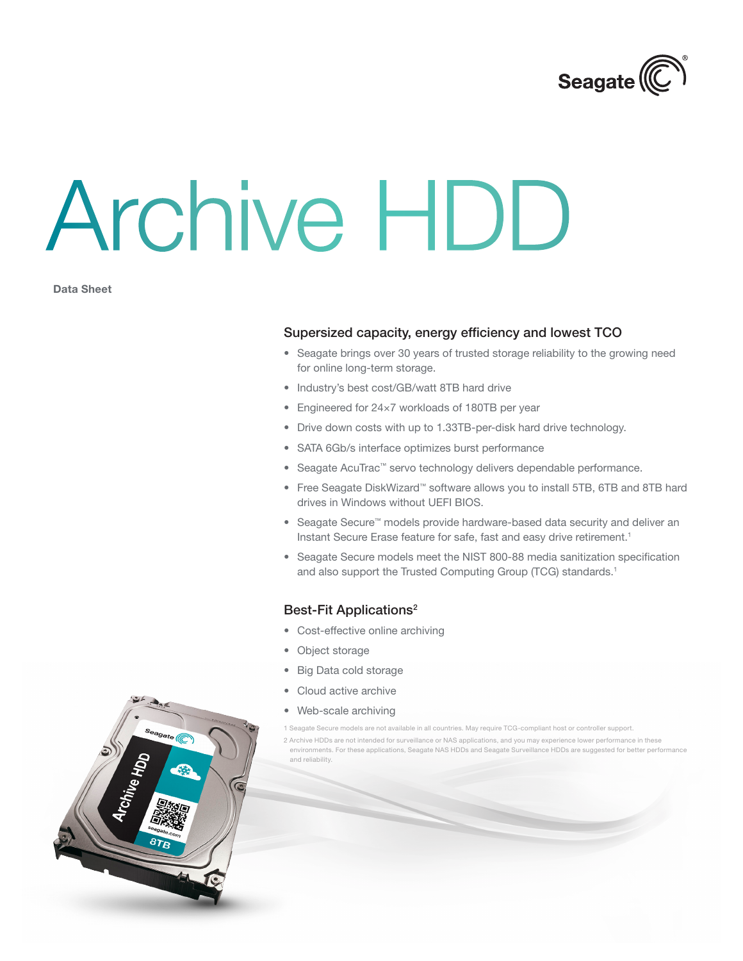

# Archive HDD

Data Sheet

#### Supersized capacity, energy efficiency and lowest TCO

- Seagate brings over 30 years of trusted storage reliability to the growing need for online long-term storage.
- Industry's best cost/GB/watt 8TB hard drive
- Engineered for 24×7 workloads of 180TB per year
- Drive down costs with up to 1.33TB-per-disk hard drive technology.
- SATA 6Gb/s interface optimizes burst performance
- Seagate AcuTrac™ servo technology delivers dependable performance.
- • Free Seagate DiskWizard™ software allows you to install 5TB, 6TB and 8TB hard drives in Windows without UEFI BIOS.
- • Seagate Secure™ models provide hardware-based data security and deliver an Instant Secure Erase feature for safe, fast and easy drive retirement.<sup>1</sup>
- Seagate Secure models meet the NIST 800-88 media sanitization specification and also support the Trusted Computing Group (TCG) standards.<sup>1</sup>

### Best-Fit Applications2

- Cost-effective online archiving
- Object storage
- • Big Data cold storage
- Cloud active archive
- Web-scale archiving
- 1 Seagate Secure models are not available in all countries. May require TCG-compliant host or controller support.
- 2 Archive HDDs are not intended for surveillance or NAS applications, and you may experience lower performance in these environments. For these applications, Seagate NAS HDDs and Seagate Surveillance HDDs are suggested for better performance and reliability.